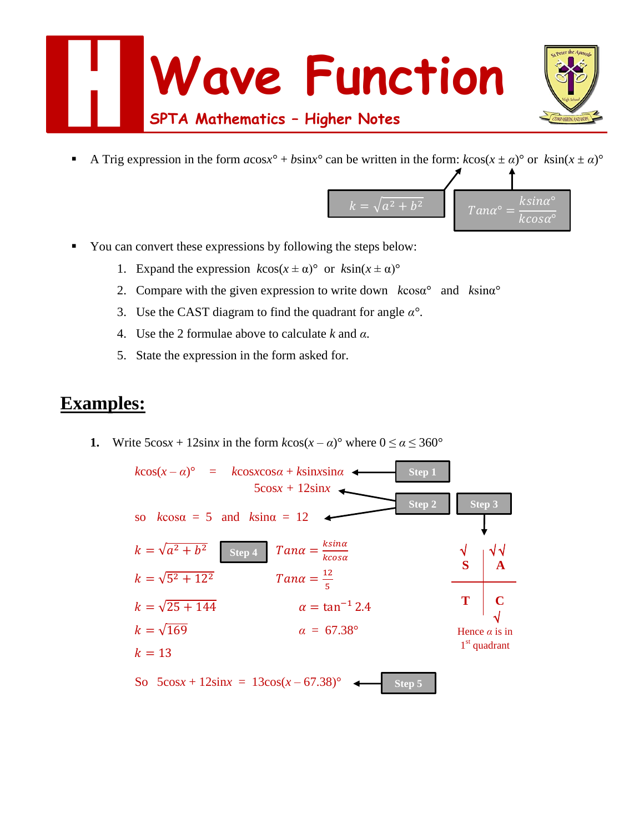

A Trig expression in the form  $a\cos x^{\circ} + b\sin x^{\circ}$  can be written in the form:  $k\cos(x \pm \alpha)^{\circ}$  or  $k\sin(x \pm \alpha)^{\circ}$ 



- You can convert these expressions by following the steps below:
	- 1. Expand the expression  $k\cos(x \pm \alpha)^{\circ}$  or  $k\sin(x \pm \alpha)^{\circ}$
	- 2. Compare with the given expression to write down *k*cosα° and *k*sinα°
	- 3. Use the CAST diagram to find the quadrant for angle *α°*.
	- 4. Use the 2 formulae above to calculate *k* and *α*.
	- 5. State the expression in the form asked for.

# **Examples:**

**1.** Write  $5\cos x + 12\sin x$  in the form  $k\cos(x - \alpha)$ ° where  $0 \le \alpha \le 360$ °

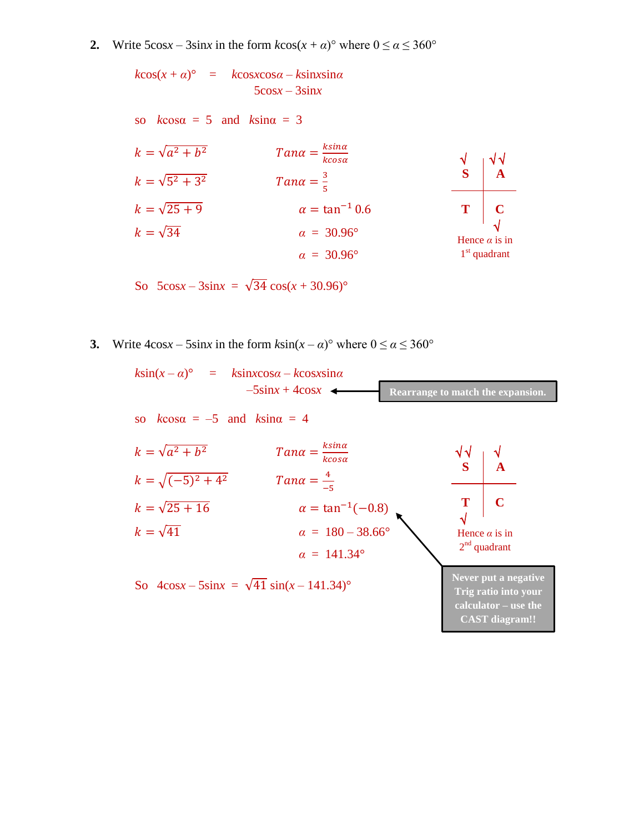**2.** Write  $5\cos x - 3\sin x$  in the form  $k\cos(x + a)$ ° where  $0 \le a \le 360$ °

 $k\cos(x + a)$ <sup>°</sup> =  $k\cos x \cos a - k\sin x \sin a$  $5cosx - 3sinx$ 

so  $k\cos\alpha = 5$  and  $k\sin\alpha = 3$ 

| $k = \sqrt{a^2 + b^2}$ | $Tana = \frac{k\sin\alpha}{k\cos\alpha}$ | $\sqrt{\sqrt{\sqrt{\alpha^2 + b^2}}}$                        |              |
|------------------------|------------------------------------------|--------------------------------------------------------------|--------------|
| $k = \sqrt{5^2 + 3^2}$ | $Tana = \frac{3}{5}$                     | $\frac{3}{4}$                                                |              |
| $k = \sqrt{25 + 9}$    | $\alpha = \tan^{-1} 0.6$                 | $\mathbf{T}$                                                 | $\mathbf{C}$ |
| $k = \sqrt{34}$        | $\alpha = 30.96^\circ$                   | $\mathbf{Hence } \alpha \text{ is in } \alpha = 30.96^\circ$ |              |

So 
$$
5\cos x - 3\sin x = \sqrt{34} \cos(x + 30.96)^{\circ}
$$

**3.** Write  $4\cos x - 5\sin x$  in the form  $k\sin(x - \alpha)$ ° where  $0 \le \alpha \le 360$ °

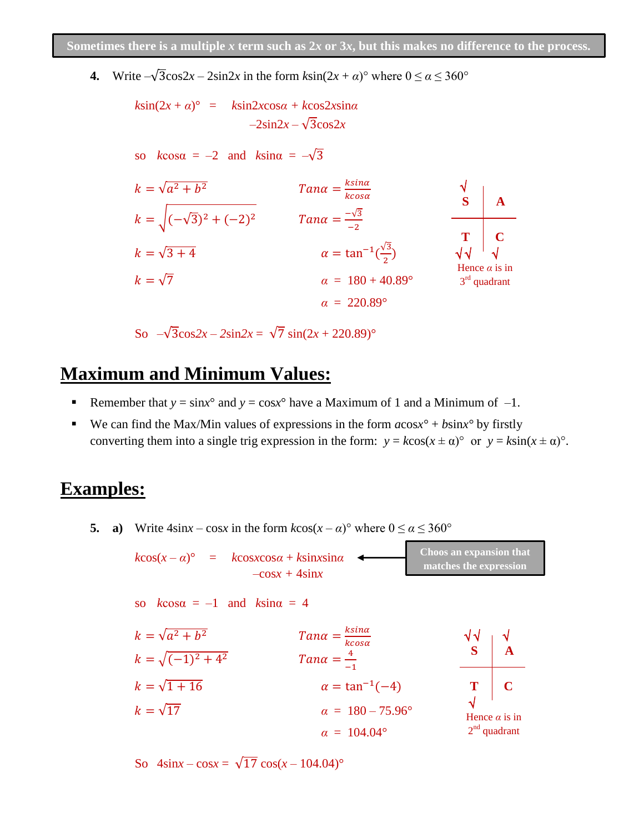**4.** Write  $-\sqrt{3}\cos 2x - 2\sin 2x$  in the form  $k\sin(2x + a)$ ° where  $0 \le a \le 360$ °

*k*sin(2*x* + *α*)° = *k*sin2*x*cos*α + k*cos2*x*sin*α –*2sin2*x –* √3cos2*x*  so *k*cosα = *–*2and *k*sinα = *–*√3 = √ <sup>2</sup> + <sup>2</sup> = = √(−√3) <sup>2</sup> + (−2) <sup>2</sup> = −√3 −2 = √3 + 4 = tan−1 ( √3 2 ) = √7 *α* = 180 + 40.89° *α* = 220.89° √ √ √ √ Hence *α* is in 3 rd quadrant **S T**

**A**

**C**

So  $-\sqrt{3}\cos 2x - 2\sin 2x = \sqrt{7} \sin(2x + 220.89)$ °

#### **Maximum and Minimum Values:**

- Remember that  $y = sin x^{\circ}$  and  $y = cos x^{\circ}$  have a Maximum of 1 and a Minimum of  $-1$ .
- We can find the Max/Min values of expressions in the form  $a\cos x$ <sup>o</sup> +  $b\sin x$ <sup>o</sup> by firstly converting them into a single trig expression in the form:  $y = k\cos(x \pm \alpha)^{\circ}$  or  $y = k\sin(x \pm \alpha)^{\circ}$ .

# **Examples:**

**5. a**) Write  $4\sin x - \cos x$  in the form  $k\cos(x - a)$ ° where  $0 \le a \le 360$ °

 $k\cos(x - \alpha)^{\circ} = k\cos x \cos \alpha + k\sin x \sin \alpha$  $-cosx + 4sinx$ **Choos an expansion that matches the expression**

so  $k\cos\alpha = -1$  and  $k\sin\alpha = 4$ 

$$
k = \sqrt{a^2 + b^2}
$$
  
\n
$$
k = \sqrt{(-1)^2 + 4^2}
$$
  
\n
$$
k = \sqrt{1 + 16}
$$
  
\n
$$
k = \sqrt{17}
$$
  
\n
$$
k = \sqrt{17}
$$
  
\n
$$
k = \sqrt{17}
$$
  
\n
$$
k = \sqrt{17}
$$
  
\n
$$
k = 104.04^{\circ}
$$
  
\n
$$
k = \sqrt{17}
$$
  
\n
$$
k = 104.04^{\circ}
$$
  
\n
$$
k = \sqrt{17}
$$
  
\n
$$
k = \sqrt{17}
$$
  
\n
$$
k = 104.04^{\circ}
$$
  
\n
$$
k = \sqrt{17}
$$
  
\n
$$
k = \sqrt{17}
$$
  
\n
$$
k = \sqrt{17}
$$
  
\n
$$
k = 104.04^{\circ}
$$
  
\n
$$
k = \sqrt{17}
$$
  
\n
$$
k = \sqrt{17}
$$
  
\n
$$
k = \sqrt{17}
$$
  
\n
$$
k = \sqrt{17}
$$
  
\n
$$
k = \sqrt{17}
$$
  
\n
$$
k = 104.04^{\circ}
$$
  
\n
$$
k = \sqrt{17}
$$
  
\n
$$
k = \sqrt{17}
$$
  
\n
$$
k = \sqrt{17}
$$
  
\n
$$
k = \sqrt{17}
$$
  
\n
$$
k = \sqrt{17}
$$
  
\n
$$
k = \sqrt{17}
$$
  
\n
$$
k = \sqrt{17}
$$
  
\n
$$
k = \sqrt{17}
$$
  
\n
$$
k = \sqrt{17}
$$
  
\n
$$
k = \sqrt{17}
$$
  
\n
$$
k = \sqrt{17}
$$
  
\n
$$
k = \sqrt{17}
$$
  
\n
$$
k = \sqrt{17}
$$
  
\n
$$
k = \sqrt{17}
$$
  
\n
$$
k = \sqrt{17}
$$
  
\n $$ 

So  $4\sin x - \cos x = \sqrt{17} \cos(x - 104.04)$ °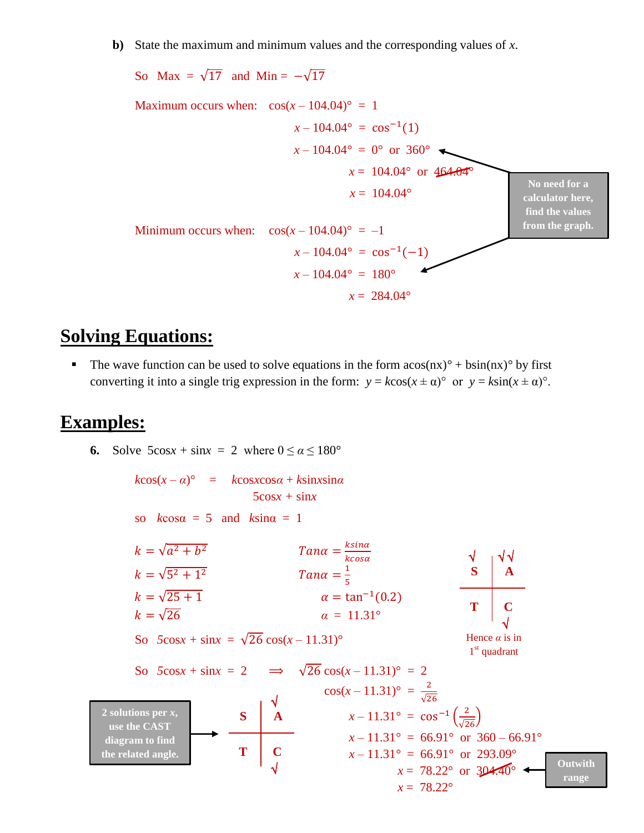**b)** State the maximum and minimum values and the corresponding values of *x*.



### **Solving Equations:**

The wave function can be used to solve equations in the form  $a\cos(nx)^{\circ} + b\sin(nx)^{\circ}$  by first converting it into a single trig expression in the form:  $y = k\cos(x \pm \alpha)^{\circ}$  or  $y = k\sin(x \pm \alpha)^{\circ}$ .

#### **Examples:**

**6.** Solve  $5\cos x + \sin x = 2$  where  $0 \le \alpha \le 180^\circ$ 

 $k\cos(x - \alpha)^{\circ} = k\cos(x) - k\sin(x)$  $5cosx + sinx$ so  $k\cos\alpha = 5$  and  $k\sin\alpha = 1$  $k = \sqrt{a^2 + b}$  $\overline{a}$   $T$ an $\alpha = \frac{k \sin \alpha}{l}$ kcosa  $k = \sqrt{5^2 + 1}$  $\overline{a}$   $T$ ana  $=\frac{1}{5}$ 5  $k = \sqrt{25 + 1}$  $\alpha = \tan^{-1}(0.2)$  $k = \sqrt{26}$  *α* = 11.31° So  $5\cos x + \sin x = \sqrt{26} \cos(x - 11.31)^\circ$ So  $5\cos x + \sin x = 2 \implies \sqrt{26} \cos(x - 11.31)^{\circ} = 2$  $\cos(x-11.31)$ ° =  $\frac{2}{\sqrt{2}}$ √26  $x - 11.31^{\circ} = \cos^{-1}\left(\frac{2}{\sqrt{26}}\right)$  $x - 11.31^\circ = 66.91^\circ \text{ or } 360 - 66.91^\circ$  $x - 11.31^{\circ} = 66.91^{\circ}$  or 293.09°  $x = 78.22^{\circ}$  or  $304.40^{\circ}$  $x = 78.22^{\circ}$  √ √ √  $\overline{a}$  √ Hence *α* is in 1<sup>st</sup> quadrant **A C S T** √  $\overline{a}$  √ **A C S T Outwith range 2 solutions per** *x***, use the CAST diagram to find the related angle.**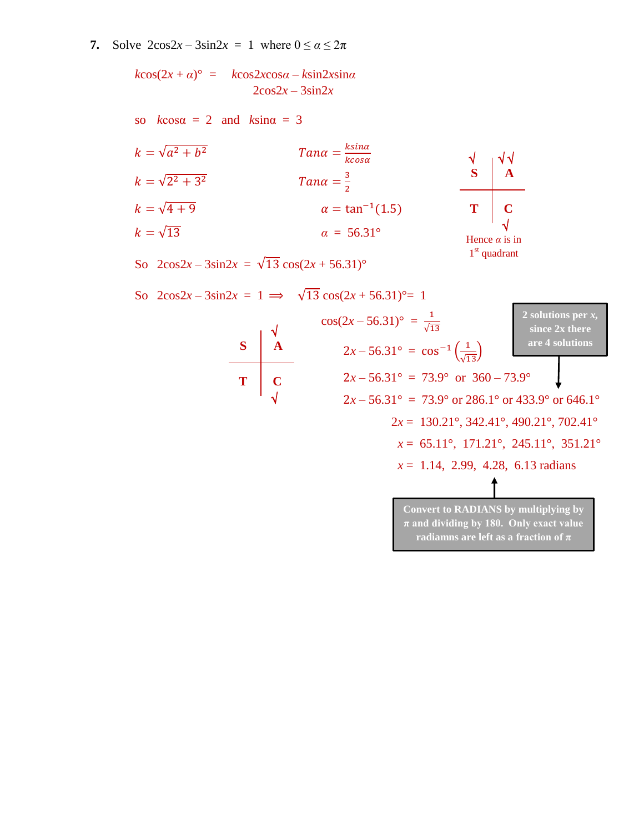**7.** Solve  $2\cos 2x - 3\sin 2x = 1$  where  $0 \le \alpha \le 2\pi$ 

 $k\cos(2x + a)$ <sup>°</sup> =  $k\cos(2x)\cos a - k\sin(2x)\sin a$  $2\cos 2x - 3\sin 2x$ 

so  $k\cos\alpha = 2$  and  $k\sin\alpha = 3$ 

$$
k = \sqrt{a^2 + b^2}
$$
  
\n
$$
k = \sqrt{2^2 + 3^2}
$$
  
\n
$$
k = \sqrt{4 + 9}
$$
  
\n
$$
k = \sqrt{13}
$$
  
\n
$$
Tana = \frac{8 \sin \alpha}{\alpha}
$$
  
\n
$$
Tana = \frac{3}{2}
$$
  
\n
$$
\alpha = \tan^{-1}(1.5)
$$
  
\n
$$
\alpha = 56.31^{\circ}
$$



 $\sqrt{2}$ 

1<sup>st</sup> quadrant

So  $2\cos 2x - 3\sin 2x = \sqrt{13} \cos (2x + 56.31)$ °

So 
$$
2\cos 2x - 3\sin 2x = 1 \implies \sqrt{13} \cos(2x + 56.31)^{\circ} = 1
$$
  
\n $\cos(2x - 56.31)^{\circ} = \frac{1}{\sqrt{13}}$   
\n $\frac{1}{\sqrt{13}} = \cos^{-1}(\frac{1}{\sqrt{13}})$   
\n $\frac{1}{\sqrt{13}} = \cos^{-1}(\frac{1}{\sqrt{13}})$   
\n $\frac{1}{\sqrt{13}} = \cos^{-1}(\frac{1}{\sqrt{13}})$   
\n $\frac{1}{\sqrt{13}} = \cos^{-1}(\frac{1}{\sqrt{13}})$   
\n $\frac{1}{\sqrt{13}} = \cos^{-1}(\frac{1}{\sqrt{13}})$   
\n $\frac{1}{\sqrt{13}} = \cos^{-1}(\frac{1}{\sqrt{13}})$   
\n $\frac{1}{\sqrt{13}} = \cos^{-1}(\frac{1}{\sqrt{13}})$   
\n $\frac{1}{\sqrt{13}} = \cos^{-1}(\frac{1}{\sqrt{13}})$   
\n $\frac{1}{\sqrt{13}} = \cos^{-1}(\frac{1}{\sqrt{13}})$   
\n $\frac{1}{\sqrt{13}} = \cos^{-1}(\frac{1}{\sqrt{13}})$   
\n $\frac{1}{\sqrt{13}} = \cos^{-1}(\frac{1}{\sqrt{13}})$   
\n $\frac{1}{\sqrt{13}} = \cos^{-1}(\frac{1}{\sqrt{13}})$   
\n $\frac{1}{\sqrt{13}} = \cos^{-1}(\frac{1}{\sqrt{13}})$   
\n $\frac{1}{\sqrt{13}} = \cos^{-1}(\frac{1}{\sqrt{13}})$   
\n $\frac{1}{\sqrt{13}} = \cos^{-1}(\frac{1}{\sqrt{13}})$   
\n $\frac{1}{\sqrt{13}} = \cos^{-1}(\frac{1}{\sqrt{13}})$   
\n $\frac{1}{\sqrt{13}} = \cos^{-1}(\frac{1}{\sqrt{13}})$   
\n $\frac{1}{\sqrt{13}} = \cos^{-1}(\frac{1}{\sqrt{13}})$   
\n $\frac{1}{\sqrt{13}} = \cos^{-1}(\frac{1}{\sqrt{$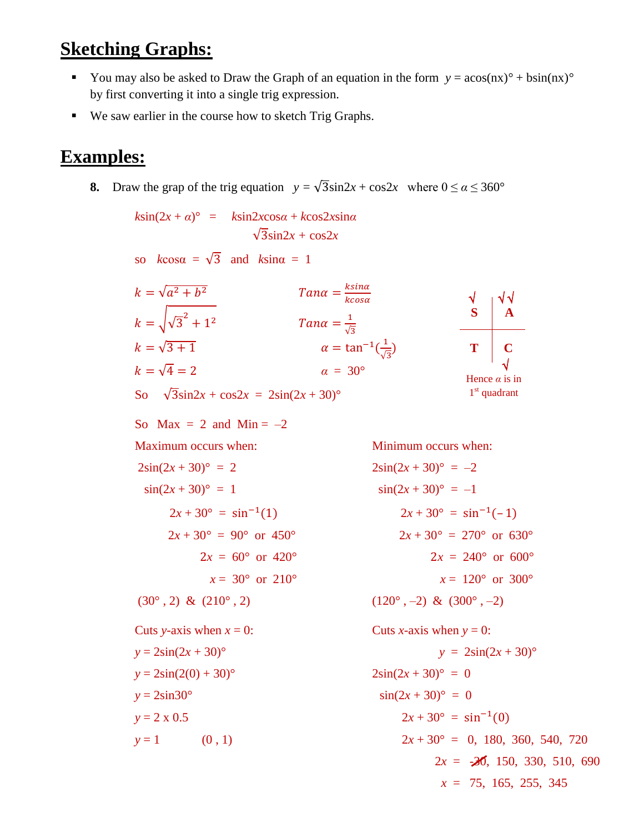# **Sketching Graphs:**

- You may also be asked to Draw the Graph of an equation in the form  $y = a\cos(nx)^{\circ} + b\sin(nx)^{\circ}$ by first converting it into a single trig expression.
- We saw earlier in the course how to sketch Trig Graphs.

## **Examples:**

**8.** Draw the grap of the trig equation  $y = \sqrt{3} \sin 2x + \cos 2x$  where  $0 \le \alpha \le 360^{\circ}$ 

 $k\sin(2x + a)$ <sup>°</sup> =  $k\sin 2xcos a + k\cos 2x sin a$  $\sqrt{3}$ sin2*x* +  $\cos 2x$ so  $k\cos\alpha = \sqrt{3}$  and  $k\sin\alpha = 1$  $k = \sqrt{a^2 + b}$  $Tana = \frac{k\sin\alpha}{k\cos\alpha}$ kcosa  $k = \sqrt{\sqrt{3}^2 + 1}$ 2  $Tan\alpha = \frac{1}{6}$ √3  $k = \sqrt{3 + 1}$   $\alpha = \tan^{-1}(\frac{1}{k})$  $\frac{1}{\sqrt{3}}$  $k = \sqrt{4} = 2$  *a* = 30° So  $\sqrt{3} \sin 2x + \cos 2x = 2\sin(2x + 30)^\circ$ So Max = 2 and Min =  $-2$ Maximum occurs when: Minimum occurs when:  $2\sin(2x + 30)^\circ = 2$   $2\sin(2x + 30)^\circ = -2$  $\sin(2x + 30)^\circ = 1$   $\sin(2x + 30)^\circ = -1$  $2x + 30^{\circ} = \sin^{-1}(1)$ (1)  $2x + 30^{\circ} = \sin^{-1}(-1)$  $2x + 30^{\circ} = 90^{\circ}$  or  $450^{\circ}$  2*x* + 30<sup>°</sup> = 270<sup>°</sup> or 630<sup>°</sup>  $2x = 60^{\circ}$  or  $420^{\circ}$  2*x* = 240° or  $600^{\circ}$  $x = 30^{\circ}$  or  $210^{\circ}$  *x = 120° or 300°*  $(30^{\circ}, 2) \& (210^{\circ}, 2)$  (120°, –2) &  $(300^{\circ}, -2)$ Cuts *y*-axis when  $x = 0$ : Cuts *x*-axis when  $y = 0$ :  $y = 2\sin(2x + 30)^\circ$   $y = 2\sin(2x + 30)^\circ$  $y = 2\sin(2(0) + 30)^\circ$  2sin(2*x* + 30)° = 0  $y = 2\sin 30^\circ$   $\sin(2x + 30)^\circ = 0$  $y = 2 \times 0.5$  2*x* + 30° = sin<sup>-1</sup>(0)  $y = 1$  (0, 1)  $2x + 30^{\circ} = 0$ , 180, 360, 540, 720  $2x = -20$ , 150, 330, 510, 690 √ √ √  $\overline{a}$  √ Hence *α* is in 1<sup>st</sup> quadrant **A C S T**

*x* = 75, 165, 255, 345